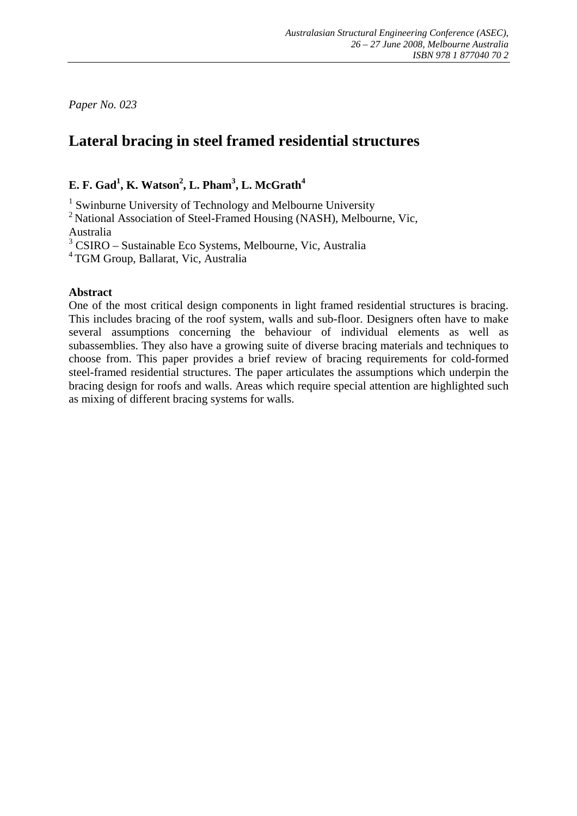*Paper No. 023* 

# **Lateral bracing in steel framed residential structures**

# **E. F. Gad1 , K. Watson2 , L. Pham<sup>3</sup> , L. McGrath<sup>4</sup>**

<sup>1</sup> Swinburne University of Technology and Melbourne University

<sup>2</sup> National Association of Steel-Framed Housing (NASH), Melbourne, Vic, Australia

3 CSIRO – Sustainable Eco Systems, Melbourne, Vic, Australia

4 TGM Group, Ballarat, Vic, Australia

### **Abstract**

One of the most critical design components in light framed residential structures is bracing. This includes bracing of the roof system, walls and sub-floor. Designers often have to make several assumptions concerning the behaviour of individual elements as well as subassemblies. They also have a growing suite of diverse bracing materials and techniques to choose from. This paper provides a brief review of bracing requirements for cold-formed steel-framed residential structures. The paper articulates the assumptions which underpin the bracing design for roofs and walls. Areas which require special attention are highlighted such as mixing of different bracing systems for walls.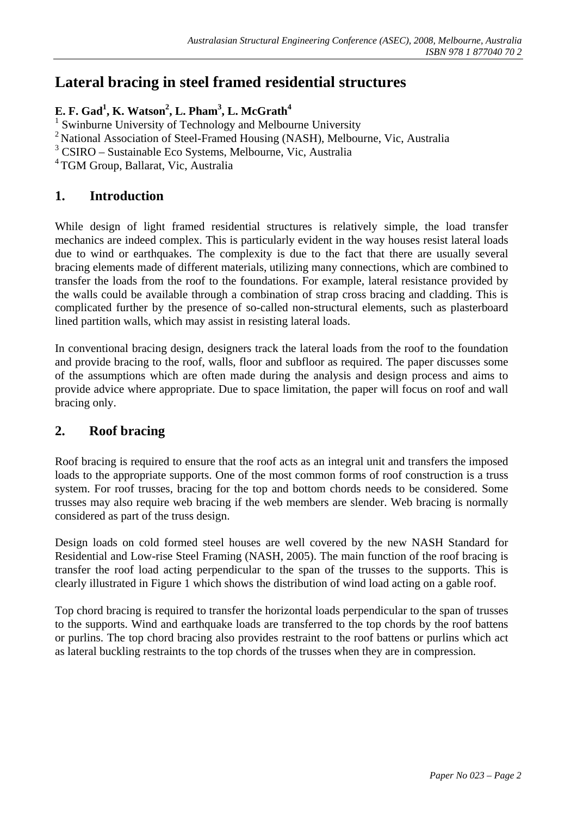# **Lateral bracing in steel framed residential structures**

## **E. F. Gad1 , K. Watson2 , L. Pham<sup>3</sup> , L. McGrath4**

<sup>1</sup> Swinburne University of Technology and Melbourne University

<sup>2</sup> National Association of Steel-Framed Housing (NASH), Melbourne, Vic, Australia

3 CSIRO – Sustainable Eco Systems, Melbourne, Vic, Australia

<sup>4</sup> TGM Group, Ballarat, Vic, Australia

# **1. Introduction**

While design of light framed residential structures is relatively simple, the load transfer mechanics are indeed complex. This is particularly evident in the way houses resist lateral loads due to wind or earthquakes. The complexity is due to the fact that there are usually several bracing elements made of different materials, utilizing many connections, which are combined to transfer the loads from the roof to the foundations. For example, lateral resistance provided by the walls could be available through a combination of strap cross bracing and cladding. This is complicated further by the presence of so-called non-structural elements, such as plasterboard lined partition walls, which may assist in resisting lateral loads.

In conventional bracing design, designers track the lateral loads from the roof to the foundation and provide bracing to the roof, walls, floor and subfloor as required. The paper discusses some of the assumptions which are often made during the analysis and design process and aims to provide advice where appropriate. Due to space limitation, the paper will focus on roof and wall bracing only.

## **2. Roof bracing**

Roof bracing is required to ensure that the roof acts as an integral unit and transfers the imposed loads to the appropriate supports. One of the most common forms of roof construction is a truss system. For roof trusses, bracing for the top and bottom chords needs to be considered. Some trusses may also require web bracing if the web members are slender. Web bracing is normally considered as part of the truss design.

Design loads on cold formed steel houses are well covered by the new NASH Standard for Residential and Low-rise Steel Framing (NASH, 2005). The main function of the roof bracing is transfer the roof load acting perpendicular to the span of the trusses to the supports. This is clearly illustrated in Figure 1 which shows the distribution of wind load acting on a gable roof.

Top chord bracing is required to transfer the horizontal loads perpendicular to the span of trusses to the supports. Wind and earthquake loads are transferred to the top chords by the roof battens or purlins. The top chord bracing also provides restraint to the roof battens or purlins which act as lateral buckling restraints to the top chords of the trusses when they are in compression.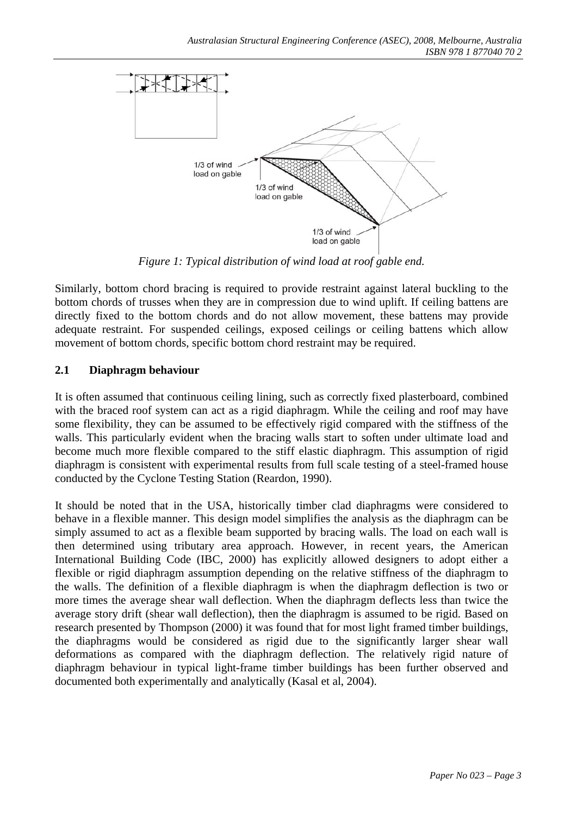

*Figure 1: Typical distribution of wind load at roof gable end.* 

Similarly, bottom chord bracing is required to provide restraint against lateral buckling to the bottom chords of trusses when they are in compression due to wind uplift. If ceiling battens are directly fixed to the bottom chords and do not allow movement, these battens may provide adequate restraint. For suspended ceilings, exposed ceilings or ceiling battens which allow movement of bottom chords, specific bottom chord restraint may be required.

### **2.1 Diaphragm behaviour**

It is often assumed that continuous ceiling lining, such as correctly fixed plasterboard, combined with the braced roof system can act as a rigid diaphragm. While the ceiling and roof may have some flexibility, they can be assumed to be effectively rigid compared with the stiffness of the walls. This particularly evident when the bracing walls start to soften under ultimate load and become much more flexible compared to the stiff elastic diaphragm. This assumption of rigid diaphragm is consistent with experimental results from full scale testing of a steel-framed house conducted by the Cyclone Testing Station (Reardon, 1990).

It should be noted that in the USA, historically timber clad diaphragms were considered to behave in a flexible manner. This design model simplifies the analysis as the diaphragm can be simply assumed to act as a flexible beam supported by bracing walls. The load on each wall is then determined using tributary area approach. However, in recent years, the American International Building Code (IBC, 2000) has explicitly allowed designers to adopt either a flexible or rigid diaphragm assumption depending on the relative stiffness of the diaphragm to the walls. The definition of a flexible diaphragm is when the diaphragm deflection is two or more times the average shear wall deflection. When the diaphragm deflects less than twice the average story drift (shear wall deflection), then the diaphragm is assumed to be rigid. Based on research presented by Thompson (2000) it was found that for most light framed timber buildings, the diaphragms would be considered as rigid due to the significantly larger shear wall deformations as compared with the diaphragm deflection. The relatively rigid nature of diaphragm behaviour in typical light-frame timber buildings has been further observed and documented both experimentally and analytically (Kasal et al, 2004).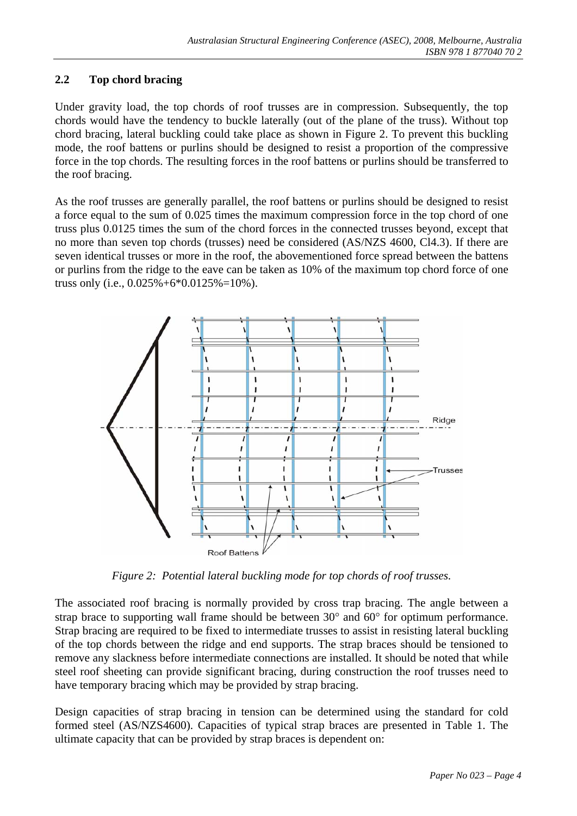## **2.2 Top chord bracing**

Under gravity load, the top chords of roof trusses are in compression. Subsequently, the top chords would have the tendency to buckle laterally (out of the plane of the truss). Without top chord bracing, lateral buckling could take place as shown in Figure 2. To prevent this buckling mode, the roof battens or purlins should be designed to resist a proportion of the compressive force in the top chords. The resulting forces in the roof battens or purlins should be transferred to the roof bracing.

As the roof trusses are generally parallel, the roof battens or purlins should be designed to resist a force equal to the sum of 0.025 times the maximum compression force in the top chord of one truss plus 0.0125 times the sum of the chord forces in the connected trusses beyond, except that no more than seven top chords (trusses) need be considered (AS/NZS 4600, Cl4.3). If there are seven identical trusses or more in the roof, the abovementioned force spread between the battens or purlins from the ridge to the eave can be taken as 10% of the maximum top chord force of one truss only (i.e.,  $0.025\% + 6*0.0125\% = 10\%$ ).



*Figure 2: Potential lateral buckling mode for top chords of roof trusses.* 

The associated roof bracing is normally provided by cross trap bracing. The angle between a strap brace to supporting wall frame should be between 30° and 60° for optimum performance. Strap bracing are required to be fixed to intermediate trusses to assist in resisting lateral buckling of the top chords between the ridge and end supports. The strap braces should be tensioned to remove any slackness before intermediate connections are installed. It should be noted that while steel roof sheeting can provide significant bracing, during construction the roof trusses need to have temporary bracing which may be provided by strap bracing.

Design capacities of strap bracing in tension can be determined using the standard for cold formed steel (AS/NZS4600). Capacities of typical strap braces are presented in Table 1. The ultimate capacity that can be provided by strap braces is dependent on: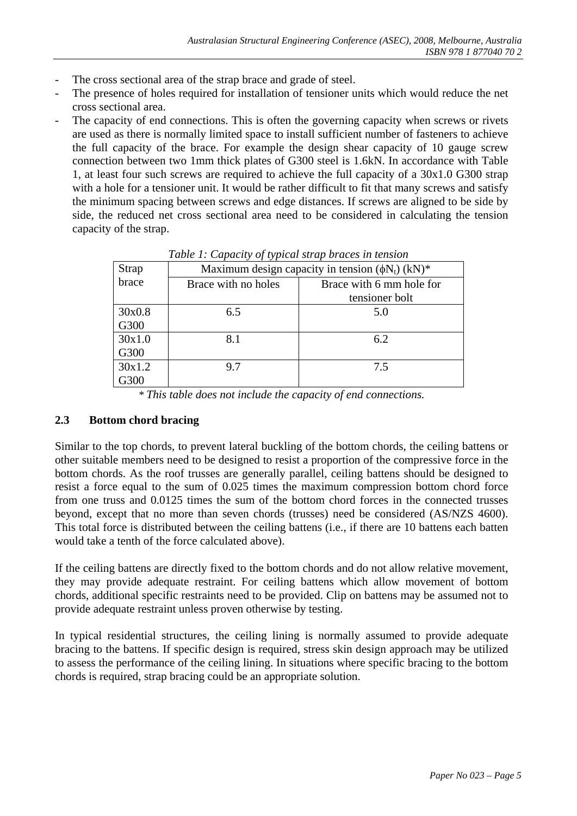- The cross sectional area of the strap brace and grade of steel.
- The presence of holes required for installation of tensioner units which would reduce the net cross sectional area.
- The capacity of end connections. This is often the governing capacity when screws or rivets are used as there is normally limited space to install sufficient number of fasteners to achieve the full capacity of the brace. For example the design shear capacity of 10 gauge screw connection between two 1mm thick plates of G300 steel is 1.6kN. In accordance with Table 1, at least four such screws are required to achieve the full capacity of a 30x1.0 G300 strap with a hole for a tensioner unit. It would be rather difficult to fit that many screws and satisfy the minimum spacing between screws and edge distances. If screws are aligned to be side by side, the reduced net cross sectional area need to be considered in calculating the tension capacity of the strap.

| Strap  | <i>.  </i><br>Maximum design capacity in tension $(\phi N_t)$ (kN)* |                          |
|--------|---------------------------------------------------------------------|--------------------------|
| brace  | Brace with no holes                                                 | Brace with 6 mm hole for |
|        |                                                                     | tensioner bolt           |
| 30x0.8 | 6.5                                                                 | 5.0                      |
| G300   |                                                                     |                          |
| 30x1.0 | 8.1                                                                 | 6.2                      |
| G300   |                                                                     |                          |
| 30x1.2 | 9.7                                                                 | 7.5                      |
| G300   |                                                                     |                          |

*Table 1: Capacity of typical strap braces in tension* 

*\* This table does not include the capacity of end connections.* 

#### **2.3 Bottom chord bracing**

Similar to the top chords, to prevent lateral buckling of the bottom chords, the ceiling battens or other suitable members need to be designed to resist a proportion of the compressive force in the bottom chords. As the roof trusses are generally parallel, ceiling battens should be designed to resist a force equal to the sum of 0.025 times the maximum compression bottom chord force from one truss and 0.0125 times the sum of the bottom chord forces in the connected trusses beyond, except that no more than seven chords (trusses) need be considered (AS/NZS 4600). This total force is distributed between the ceiling battens (i.e., if there are 10 battens each batten would take a tenth of the force calculated above).

If the ceiling battens are directly fixed to the bottom chords and do not allow relative movement, they may provide adequate restraint. For ceiling battens which allow movement of bottom chords, additional specific restraints need to be provided. Clip on battens may be assumed not to provide adequate restraint unless proven otherwise by testing.

In typical residential structures, the ceiling lining is normally assumed to provide adequate bracing to the battens. If specific design is required, stress skin design approach may be utilized to assess the performance of the ceiling lining. In situations where specific bracing to the bottom chords is required, strap bracing could be an appropriate solution.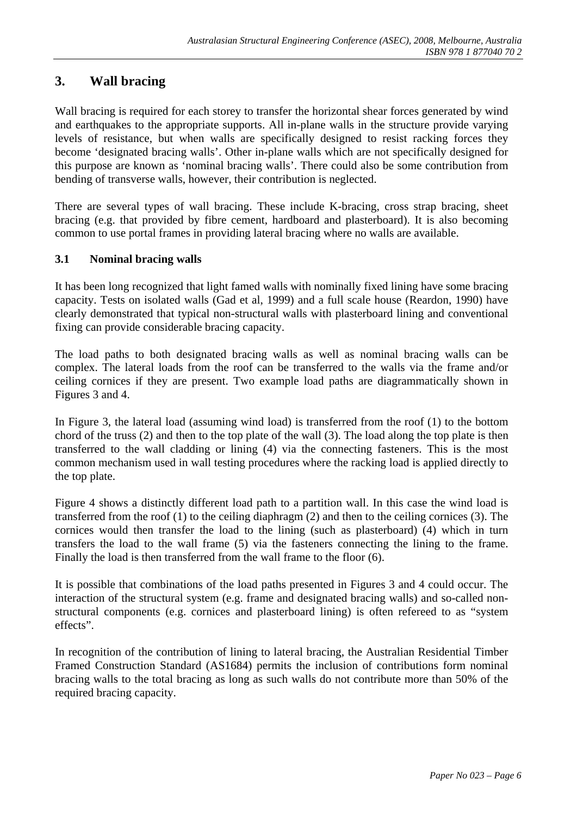# **3. Wall bracing**

Wall bracing is required for each storey to transfer the horizontal shear forces generated by wind and earthquakes to the appropriate supports. All in-plane walls in the structure provide varying levels of resistance, but when walls are specifically designed to resist racking forces they become 'designated bracing walls'. Other in-plane walls which are not specifically designed for this purpose are known as 'nominal bracing walls'. There could also be some contribution from bending of transverse walls, however, their contribution is neglected.

There are several types of wall bracing. These include K-bracing, cross strap bracing, sheet bracing (e.g. that provided by fibre cement, hardboard and plasterboard). It is also becoming common to use portal frames in providing lateral bracing where no walls are available.

#### **3.1 Nominal bracing walls**

It has been long recognized that light famed walls with nominally fixed lining have some bracing capacity. Tests on isolated walls (Gad et al, 1999) and a full scale house (Reardon, 1990) have clearly demonstrated that typical non-structural walls with plasterboard lining and conventional fixing can provide considerable bracing capacity.

The load paths to both designated bracing walls as well as nominal bracing walls can be complex. The lateral loads from the roof can be transferred to the walls via the frame and/or ceiling cornices if they are present. Two example load paths are diagrammatically shown in Figures 3 and 4.

In Figure 3, the lateral load (assuming wind load) is transferred from the roof (1) to the bottom chord of the truss (2) and then to the top plate of the wall (3). The load along the top plate is then transferred to the wall cladding or lining (4) via the connecting fasteners. This is the most common mechanism used in wall testing procedures where the racking load is applied directly to the top plate.

Figure 4 shows a distinctly different load path to a partition wall. In this case the wind load is transferred from the roof (1) to the ceiling diaphragm (2) and then to the ceiling cornices (3). The cornices would then transfer the load to the lining (such as plasterboard) (4) which in turn transfers the load to the wall frame (5) via the fasteners connecting the lining to the frame. Finally the load is then transferred from the wall frame to the floor (6).

It is possible that combinations of the load paths presented in Figures 3 and 4 could occur. The interaction of the structural system (e.g. frame and designated bracing walls) and so-called nonstructural components (e.g. cornices and plasterboard lining) is often refereed to as "system effects".

In recognition of the contribution of lining to lateral bracing, the Australian Residential Timber Framed Construction Standard (AS1684) permits the inclusion of contributions form nominal bracing walls to the total bracing as long as such walls do not contribute more than 50% of the required bracing capacity.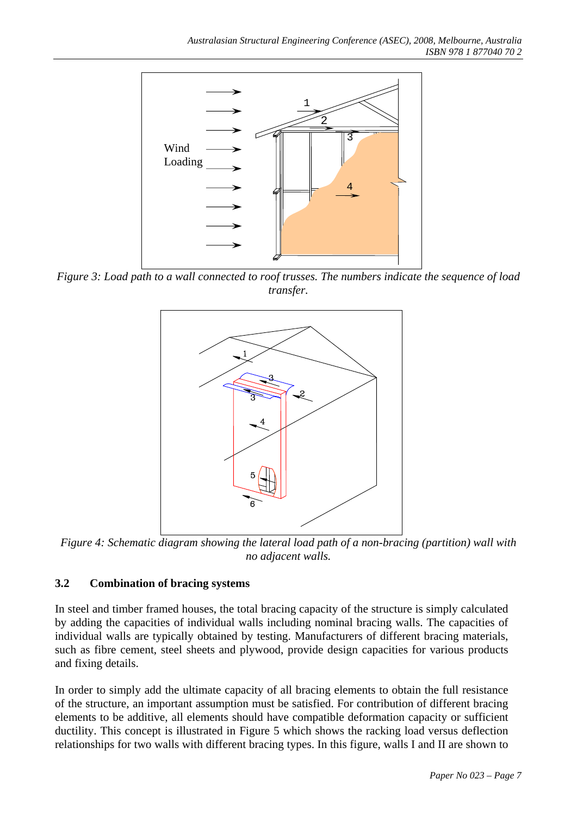

*Figure 3: Load path to a wall connected to roof trusses. The numbers indicate the sequence of load transfer.* 



*Figure 4: Schematic diagram showing the lateral load path of a non-bracing (partition) wall with no adjacent walls.* 

#### **3.2 Combination of bracing systems**

In steel and timber framed houses, the total bracing capacity of the structure is simply calculated by adding the capacities of individual walls including nominal bracing walls. The capacities of individual walls are typically obtained by testing. Manufacturers of different bracing materials, such as fibre cement, steel sheets and plywood, provide design capacities for various products and fixing details.

In order to simply add the ultimate capacity of all bracing elements to obtain the full resistance of the structure, an important assumption must be satisfied. For contribution of different bracing elements to be additive, all elements should have compatible deformation capacity or sufficient ductility. This concept is illustrated in Figure 5 which shows the racking load versus deflection relationships for two walls with different bracing types. In this figure, walls I and II are shown to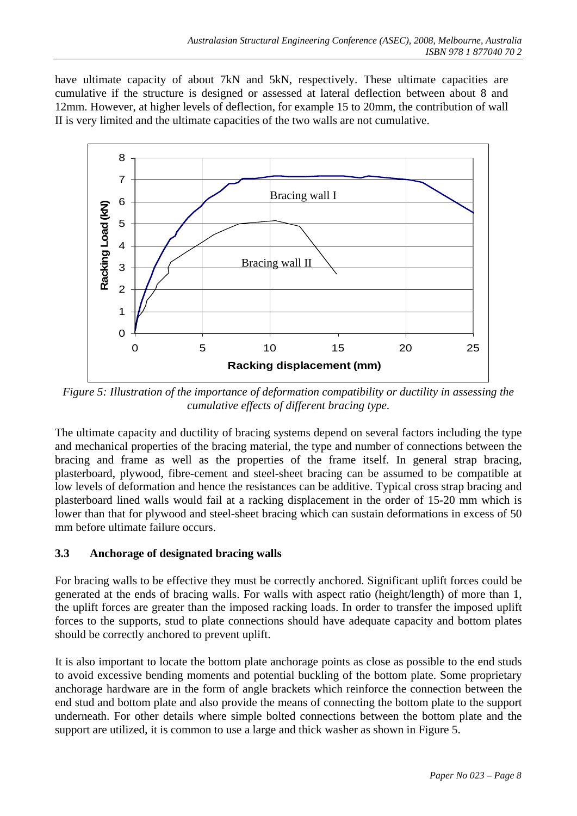have ultimate capacity of about 7kN and 5kN, respectively. These ultimate capacities are cumulative if the structure is designed or assessed at lateral deflection between about 8 and 12mm. However, at higher levels of deflection, for example 15 to 20mm, the contribution of wall II is very limited and the ultimate capacities of the two walls are not cumulative.



*Figure 5: Illustration of the importance of deformation compatibility or ductility in assessing the cumulative effects of different bracing type.* 

The ultimate capacity and ductility of bracing systems depend on several factors including the type and mechanical properties of the bracing material, the type and number of connections between the bracing and frame as well as the properties of the frame itself. In general strap bracing, plasterboard, plywood, fibre-cement and steel-sheet bracing can be assumed to be compatible at low levels of deformation and hence the resistances can be additive. Typical cross strap bracing and plasterboard lined walls would fail at a racking displacement in the order of 15-20 mm which is lower than that for plywood and steel-sheet bracing which can sustain deformations in excess of 50 mm before ultimate failure occurs.

## **3.3 Anchorage of designated bracing walls**

For bracing walls to be effective they must be correctly anchored. Significant uplift forces could be generated at the ends of bracing walls. For walls with aspect ratio (height/length) of more than 1, the uplift forces are greater than the imposed racking loads. In order to transfer the imposed uplift forces to the supports, stud to plate connections should have adequate capacity and bottom plates should be correctly anchored to prevent uplift.

It is also important to locate the bottom plate anchorage points as close as possible to the end studs to avoid excessive bending moments and potential buckling of the bottom plate. Some proprietary anchorage hardware are in the form of angle brackets which reinforce the connection between the end stud and bottom plate and also provide the means of connecting the bottom plate to the support underneath. For other details where simple bolted connections between the bottom plate and the support are utilized, it is common to use a large and thick washer as shown in Figure 5.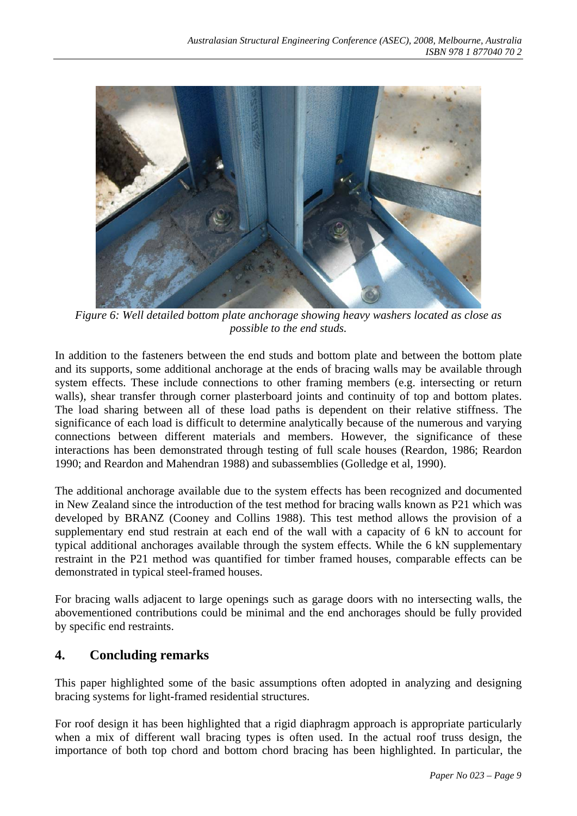

*Figure 6: Well detailed bottom plate anchorage showing heavy washers located as close as possible to the end studs.* 

In addition to the fasteners between the end studs and bottom plate and between the bottom plate and its supports, some additional anchorage at the ends of bracing walls may be available through system effects. These include connections to other framing members (e.g. intersecting or return walls), shear transfer through corner plasterboard joints and continuity of top and bottom plates. The load sharing between all of these load paths is dependent on their relative stiffness. The significance of each load is difficult to determine analytically because of the numerous and varying connections between different materials and members. However, the significance of these interactions has been demonstrated through testing of full scale houses (Reardon, 1986; Reardon 1990; and Reardon and Mahendran 1988) and subassemblies (Golledge et al, 1990).

The additional anchorage available due to the system effects has been recognized and documented in New Zealand since the introduction of the test method for bracing walls known as P21 which was developed by BRANZ (Cooney and Collins 1988). This test method allows the provision of a supplementary end stud restrain at each end of the wall with a capacity of 6 kN to account for typical additional anchorages available through the system effects. While the 6 kN supplementary restraint in the P21 method was quantified for timber framed houses, comparable effects can be demonstrated in typical steel-framed houses.

For bracing walls adjacent to large openings such as garage doors with no intersecting walls, the abovementioned contributions could be minimal and the end anchorages should be fully provided by specific end restraints.

## **4. Concluding remarks**

This paper highlighted some of the basic assumptions often adopted in analyzing and designing bracing systems for light-framed residential structures.

For roof design it has been highlighted that a rigid diaphragm approach is appropriate particularly when a mix of different wall bracing types is often used. In the actual roof truss design, the importance of both top chord and bottom chord bracing has been highlighted. In particular, the